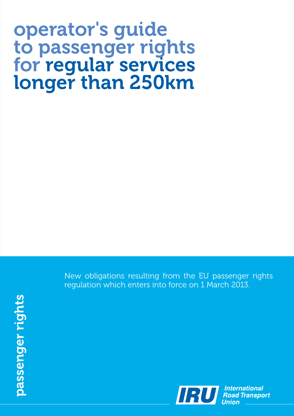# operator's guide to passenger rights for regular services longer than 250km

New obligations resulting from the EU passenger rights regulation which enters into force on 1 March 2013.

passenger rights passenger rights

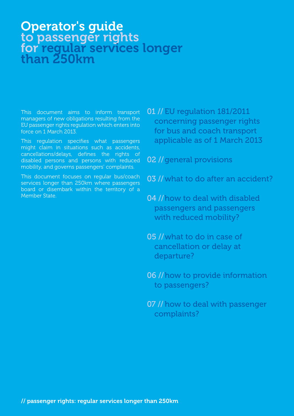## Operator's guide to passenger rights for regular services longer<br>than 250km

This document aims to inform transport managers of new obligations resulting from the EU passenger rights regulation which enters into force on 1 March 2013.

This regulation specifies what passengers might claim in situations such as accidents, cancellations/delays, defines the rights of disabled persons and persons with reduced mobility, and governs passengers' complaints.

This document focuses on regular bus/coach services longer than 250km where passengers board or disembark within the territory of a Member State.

01 // EU regulation 181/2011 concerning passenger rights for bus and coach transport applicable as of 1 March 2013

02 // general provisions

03 // what to do after an accident?

04 //how to deal with disabled passengers and passengers with reduced mobility?

05 // what to do in case of cancellation or delay at departure?

06 // how to provide information to passengers?

07 // how to deal with passenger complaints?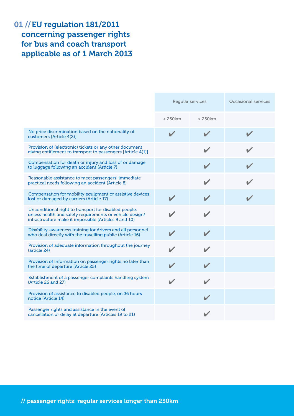## 01 // EU regulation 181/2011 concerning passenger rights for bus and coach transport applicable as of 1 March 2013

|                                                                                                                                                                            | Regular services      |                       | Occasional services |
|----------------------------------------------------------------------------------------------------------------------------------------------------------------------------|-----------------------|-----------------------|---------------------|
|                                                                                                                                                                            | $< 250$ $km$          | $>250$ km             |                     |
| No price discrimination based on the nationality of<br>customers [Article 4(2)]                                                                                            | $\blacktriangleright$ |                       |                     |
| Provision of (electronic) tickets or any other document<br>giving entitlement to transport to passengers [Article 4(1)]                                                    |                       | $\blacktriangleright$ |                     |
| Compensation for death or injury and loss of or damage<br>to luggage following an accident (Article 7)                                                                     |                       | V                     |                     |
| Reasonable assistance to meet passengers' immediate<br>practical needs following an accident (Article 8)                                                                   |                       |                       |                     |
| Compensation for mobility equipment or assistive devices<br>lost or damaged by carriers (Article 17)                                                                       | V                     |                       |                     |
| Unconditional right to transport for disabled people,<br>unless health and safety requirements or vehicle design/<br>infrastructure make it impossible (Articles 9 and 10) |                       |                       |                     |
| Disability-awareness training for drivers and all personnel<br>who deal directly with the travelling public (Article 16)                                                   | V                     | $\blacktriangledown$  |                     |
| Provision of adequate information throughout the journey<br>(article 24)                                                                                                   |                       | $\blacktriangledown$  |                     |
| Provision of information on passenger rights no later than<br>the time of departure (Article 25)                                                                           |                       |                       |                     |
| Establishment of a passenger complaints handling system<br>(Article 26 and 27)                                                                                             |                       |                       |                     |
| Provision of assistance to disabled people, on 36 hours<br>notice (Article 14)                                                                                             |                       | $\boldsymbol{\nu}$    |                     |
| Passenger rights and assistance in the event of<br>cancellation or delay at departure (Articles 19 to 21)                                                                  |                       |                       |                     |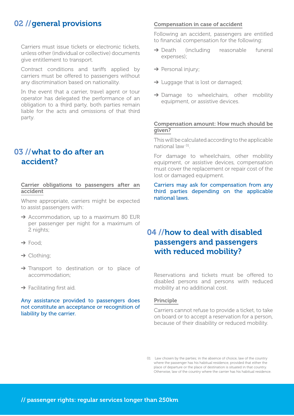## 02 // general provisions

Carriers must issue tickets or electronic tickets, unless other (individual or collective) documents give entitlement to transport.

Contract conditions and tariffs applied by carriers must be offered to passengers without any discrimination based on nationality.

In the event that a carrier, travel agent or tour operator has delegated the performance of an obligation to a third party, both parties remain liable for the acts and omissions of that third party.

## 03 // what to do after an accident?

Carrier obligations to passengers after an accident

Where appropriate, carriers might be expected to assist passengers with:

- → Accommodation, up to a maximum 80 EUR per passenger per night for a maximum of 2 nights;
- → Food:
- $\rightarrow$  Clothing;
- → Transport to destination or to place of accommodation;
- $\rightarrow$  Facilitating first aid.

Any assistance provided to passengers does not constitute an acceptance or recognition of liability by the carrier.

## Compensation in case of accident

Following an accident, passengers are entitled to financial compensation for the following:

- ➔ Death (including reasonable funeral expenses);
- → Personal injury;
- $\rightarrow$  Luggage that is lost or damaged;
- → Damage to wheelchairs, other mobility equipment, or assistive devices.

#### Compensation amount: How much should be given?

This will be calculated according to the applicable national law 01.

For damage to wheelchairs, other mobility equipment, or assistive devices, compensation must cover the replacement or repair cost of the lost or damaged equipment.

Carriers may ask for compensation from any third parties depending on the applicable national laws.

## 04 //how to deal with disabled passengers and passengers with reduced mobility?

Reservations and tickets must be offered to disabled persons and persons with reduced mobility at no additional cost.

#### Principle

Carriers cannot refuse to provide a ticket, to take on board or to accept a reservation for a person, because of their disability or reduced mobility.

 $01$  Law chosen by the parties; in the absence of choice, law of the country where the passenger has his habitual residence, provided that either the place of departure or the place of destination is situated in that country. Otherwise, law of the country where the carrier has his habitual residence.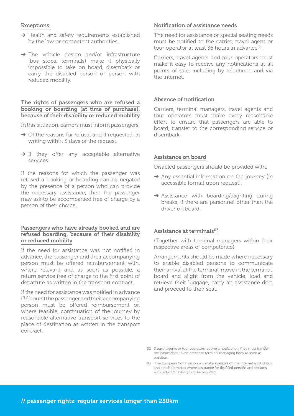## **Exceptions**

- → Health and safety requirements established by the law or competent authorities.
- → The vehicle design and/or infrastructure (bus stops, terminals) make it physically impossible to take on board, disembark or carry the disabled person or person with reduced mobility.

## The rights of passengers who are refused a booking or boarding (at time of purchase), because of their disability or reduced mobility

In this situation, carriers must inform passengers:

- $\rightarrow$  Of the reasons for refusal and if requested, in writing within 5 days of the request.
- → If they offer any acceptable alternative services.

If the reasons for which the passenger was refused a booking or boarding can be negated by the presence of a person who can provide the necessary assistance, then the passenger may ask to be accompanied free of charge by a person of their choice.

## Passengers who have already booked and are refused boarding, because of their disability or reduced mobility

If the need for assistance was not notified in advance, the passenger and their accompanying person must be offered reimbursement with, where relevant and as soon as possible, a return service free of charge to the first point of departure as written in the transport contract.

If the need for assistance was notified in advance (36 hours) the passenger and their accompanying person must be offered reimbursement or, where feasible, continuation of the journey by reasonable alternative transport services to the place of destination as written in the transport contract.

## Notification of assistance needs

The need for assistance or special seating needs must be notified to the carrier, travel agent or tour operator at least 36 hours in advance<sup>02</sup>.

Carriers, travel agents and tour operators must make it easy to receive any notifications at all points of sale, including by telephone and via the internet.

## Absence of notification

Carriers, terminal managers, travel agents and tour operators must make every reasonable effort to ensure that passengers are able to board, transfer to the corresponding service or disembark.

## Assistance on board

Disabled passengers should be provided with:

- $\rightarrow$  Any essential information on the journey (in accessible format upon request).
- → Assistance with boarding/alighting during breaks, if there are personnel other than the driver on board.

## Assistance at terminals<sup>03</sup>

(Together with terminal managers within their respective areas of competence)

Arrangements should be made where necessary to enable disabled persons to communicate their arrival at the terminal, move in the terminal, board and alight from the vehicle, load and retrieve their luggage, carry an assistance dog, and proceed to their seat.

<sup>02</sup> If travel agents or tour operators receive a notification, they must transfer the information to the carrier or terminal managing body as soon as possible.

<sup>03</sup> The European Commission will make available on the Internet a list of bus and coach terminals where assistance for disabled persons and persons with reduced mobility is to be provided.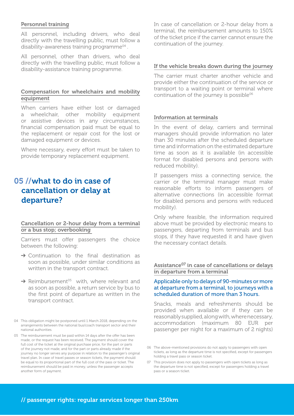#### Personnel training

All personnel, including drivers, who deal directly with the travelling public, must follow a disability-awareness training programme<sup>04</sup>.

All personnel, other than drivers, who deal directly with the travelling public, must follow a disability-assistance training programme.

### Compensation for wheelchairs and mobility equipment

When carriers have either lost or damaged a wheelchair, other mobility equipment or assistive devices in any circumstances, financial compensation paid must be equal to the replacement or repair cost for the lost or damaged equipment or devices.

Where necessary, every effort must be taken to provide temporary replacement equipment.

## 05 // what to do in case of cancellation or delay at departure?

#### Cancellation or 2-hour delay from a terminal or a bus stop; overbooking

Carriers must offer passengers the choice between the following:

- $\rightarrow$  Continuation to the final destination as soon as possible, under similar conditions as written in the transport contract.
- $\rightarrow$  Reimbursement<sup>05</sup> with, where relevant and as soon as possible, a return service by bus to the first point of departure as written in the transport contract.
- 04 This obligation might be postponed until 1 March 2018, depending on the arrangements between the national bus/coach transport sector and their national authorities.
- 05 The reimbursement must be paid within 14 days after the offer has been made, or the request has been received. The payment should cover the full cost of the ticket at the original purchase price, for the part or parts of the journey not made, and for the part or parts already made if the journey no longer serves any purpose in relation to the passenger's original travel plan. In case of travel passes or season tickets, the payment should be equal to its proportional part of the full cost of the pass or ticket. The reimbursement should be paid in money, unless the passenger accepts another form of payment.

In case of cancellation or 2-hour delay from a terminal, the reimbursement amounts to 150% of the ticket price if the carrier cannot ensure the continuation of the journey.

## If the vehicle breaks down during the journey

The carrier must charter another vehicle and provide either the continuation of the service or transport to a waiting point or terminal where continuation of the journey is possible $06$ 

## Information at terminals

In the event of delay, carriers and terminal managers should provide information no later than 30 minutes after the scheduled departure time and information on the estimated departure time as soon as it is available (in accessible format for disabled persons and persons with reduced mobility).

If passengers miss a connecting service, the carrier or the terminal manager must make reasonable efforts to inform passengers of alternative connections (in accessible format for disabled persons and persons with reduced mobility).

Only where feasible, the information required above must be provided by electronic means to passengers, departing from terminals and bus stops, if they have requested it and have given the necessary contact details.

## Assistance07 in case of cancellations or delays in departure from a terminal

#### Applicable only to delays of 90-minutes or more at departure from a terminal, to journeys with a scheduled duration of more than 3 hours.

Snacks, meals and refreshments should be provided when available or if they can be reasonably supplied, along with, where necessary, accommodation (maximum 80 EUR per passenger per night for a maximum of 2 nights)

<sup>06</sup> The above-mentioned provisions do not apply to passengers with open tickets, as long as the departure time is not specified, except for passengers holding a travel pass or season ticket.

<sup>07</sup> This provision does not apply to passengers with open tickets as long as the departure time is not specified, except for passengers holding a travel pass or a season ticket.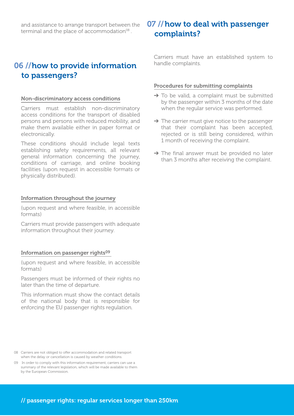and assistance to arrange transport between the terminal and the place of accommodation $08$ .

## 06 // how to provide information to passengers?

#### Non-discriminatory access conditions

Carriers must establish non-discriminatory access conditions for the transport of disabled persons and persons with reduced mobility, and make them available either in paper format or electronically.

These conditions should include legal texts establishing safety requirements, all relevant general information concerning the journey, conditions of carriage, and online booking facilities (upon request in accessible formats or physically distributed).

#### Information throughout the journey

(upon request and where feasible, in accessible formats)

Carriers must provide passengers with adequate information throughout their journey.

#### Information on passenger rights<sup>09</sup>

(upon request and where feasible, in accessible formats)

Passengers must be informed of their rights no later than the time of departure.

This information must show the contact details of the national body that is responsible for enforcing the EU passenger rights regulation.

08 Carriers are not obliged to offer accommodation and related transport when the delay or cancellation is caused by weather conditions.

09 In order to comply with this information requirement, carriers can use a summary of the relevant legislation, which will be made available to them by the European Commission.

## 07 // how to deal with passenger complaints?

Carriers must have an established system to handle complaints.

#### Procedures for submitting complaints

- → To be valid, a complaint must be submitted by the passenger within 3 months of the date when the regular service was performed.
- → The carrier must give notice to the passenger that their complaint has been accepted, rejected or is still being considered, within 1 month of receiving the complaint.
- → The final answer must be provided no later than 3 months after receiving the complaint.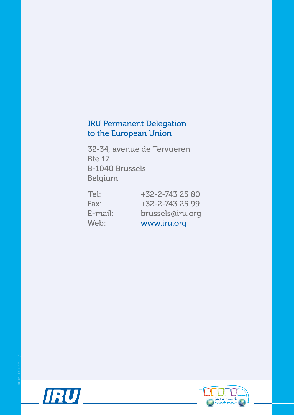## IRU Permanent Delegation to the European Union

32-34, avenue de Tervueren Bte 17 B-1040 Brussels Belgium

| Web:    | www.iru.org           |
|---------|-----------------------|
| E-mail: | brussels@iru.org      |
| Fax:    | $+32 - 2 - 743$ 25 99 |
| Tel:    | $+32 - 2 - 7432580$   |



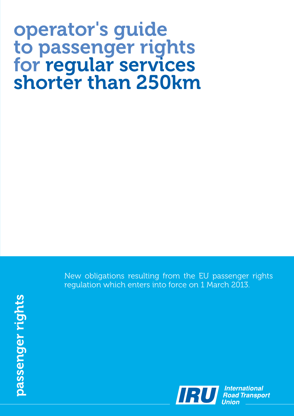# operator's guide to passenger rights for regular services<br>shorter than 250km

New obligations resulting from the EU passenger rights regulation which enters into force on 1 March 2013.

passenger rights passenger rights

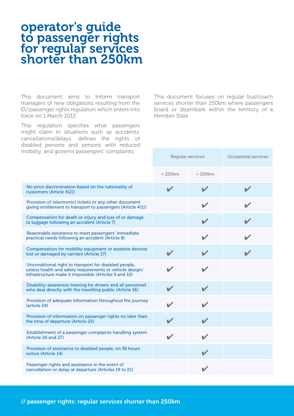## operator's guide to passenger rights for regular services shorter than 250km

This document aims to inform transport managers of new obligations resulting from the EU passenger rights regulation which enters into force on 1 March 2013.

This regulation specifies what passengers might claim in situations such as accidents, cancellations/delays, defines the rights of disabled persons and persons with reduced mobility, and governs passengers' complaints.

This document focuses on regular bus/coach services shorter than 250km where passengers board or disembark within the territory of a Member State.

| nobility, and governs passengers complaints.                                                                                                                               | Regular services           |                          | Occasional services |
|----------------------------------------------------------------------------------------------------------------------------------------------------------------------------|----------------------------|--------------------------|---------------------|
|                                                                                                                                                                            | $< 250$ km                 | >250km                   |                     |
| No price discrimination based on the nationality of<br>customers [Article 4(2)]                                                                                            | $\boldsymbol{\mathcal{U}}$ | V                        |                     |
| Provision of (electronic) tickets or any other document<br>giving entitlement to transport to passengers [Article 4(1)]                                                    |                            | $\blacktriangledown$     |                     |
| Compensation for death or injury and loss of or damage<br>to luggage following an accident (Article 7)                                                                     |                            |                          |                     |
| Reasonable assistance to meet passengers' immediate<br>practical needs following an accident (Article 8)                                                                   |                            | V                        |                     |
| Compensation for mobility equipment or assistive devices<br>lost or damaged by carriers (Article 17)                                                                       |                            | V                        |                     |
| Unconditional right to transport for disabled people,<br>unless health and safety requirements or vehicle design/<br>infrastructure make it impossible (Articles 9 and 10) |                            |                          |                     |
| Disability-awareness training for drivers and all personnel<br>who deal directly with the travelling public (Article 16)                                                   | $\boldsymbol{\nu}$         | $\overline{\mathscr{L}}$ |                     |
| Provision of adequate information throughout the journey<br>(article 24)                                                                                                   |                            |                          |                     |
| Provision of information on passenger rights no later than<br>the time of departure (Article 25)                                                                           |                            |                          |                     |
| Establishment of a passenger complaints handling system<br>(Article 26 and 27)                                                                                             |                            | $\blacktriangleright$    |                     |
| Provision of assistance to disabled people, on 36 hours<br>notice (Article 14)                                                                                             |                            | $\blacktriangledown$     |                     |
| Passenger rights and assistance in the event of<br>cancellation or delay at departure (Articles 19 to 21)                                                                  |                            |                          |                     |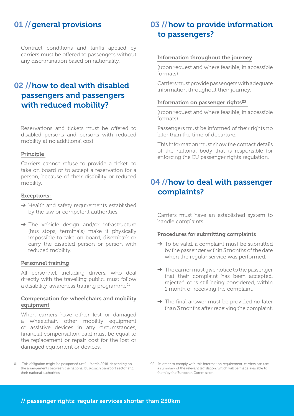## 01 // general provisions

Contract conditions and tariffs applied by carriers must be offered to passengers without any discrimination based on nationality.

## 02 //how to deal with disabled passengers and passengers with reduced mobility?

Reservations and tickets must be offered to disabled persons and persons with reduced mobility at no additional cost.

#### Principle

Carriers cannot refuse to provide a ticket, to take on board or to accept a reservation for a person, because of their disability or reduced mobility.

#### Exceptions:

- → Health and safety requirements established by the law or competent authorities.
- $\rightarrow$  The vehicle design and/or infrastructure (bus stops, terminals) make it physically impossible to take on board, disembark or carry the disabled person or person with reduced mobility.

#### Personnel training

All personnel, including drivers, who deal directly with the travelling public, must follow a disability-awareness training programme<sup>01</sup>.

### Compensation for wheelchairs and mobility equipment

When carriers have either lost or damaged a wheelchair, other mobility equipment or assistive devices in any circumstances, financial compensation paid must be equal to the replacement or repair cost for the lost or damaged equipment or devices.

## 03 // how to provide information to passengers?

#### Information throughout the journey

(upon request and where feasible, in accessible formats)

Carriers must provide passengers with adequate information throughout their journey.

#### Information on passenger rights<sup>02</sup>

(upon request and where feasible, in accessible formats)

Passengers must be informed of their rights no later than the time of departure.

This information must show the contact details of the national body that is responsible for enforcing the EU passenger rights regulation.

## 04 //how to deal with passenger complaints?

Carriers must have an established system to handle complaints.

#### Procedures for submitting complaints

- $\rightarrow$  To be valid, a complaint must be submitted by the passenger within 3 months of the date when the regular service was performed.
- $\rightarrow$  The carrier must give notice to the passenger that their complaint has been accepted, rejected or is still being considered, within 1 month of receiving the complaint.
- $\rightarrow$  The final answer must be provided no later than 3 months after receiving the complaint.

<sup>01</sup> This obligation might be postponed until 1 March 2018, depending on the arrangements between the national bus/coach transport sector and their national authorities.

<sup>02</sup> In order to comply with this information requirement, carriers can use a summary of the relevant legislation, which will be made available to them by the European Commission.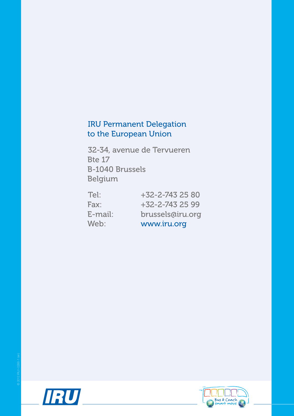## IRU Permanent Delegation to the European Union

32-34, avenue de Tervueren 32-34, avenue de Tervueren Bte 17 Brussels Bte 17 B-1040 Brussels **Belgium** 

| Tel:       | +32-2-743 25 80     |
|------------|---------------------|
| Fax:       | $+32 - 2 - 7432599$ |
| $E$ -mail: | brussels@iru.org    |
| Web:       | www.iru.org         |



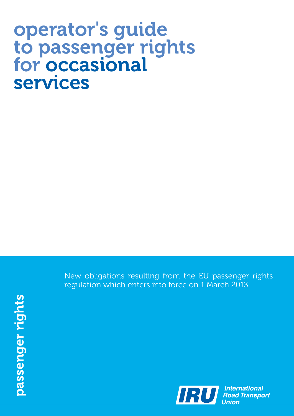## operator's guide to passenger rights for occasional services

New obligations resulting from the EU passenger rights regulation which enters into force on 1 March 2013.

passenger rights passenger rights

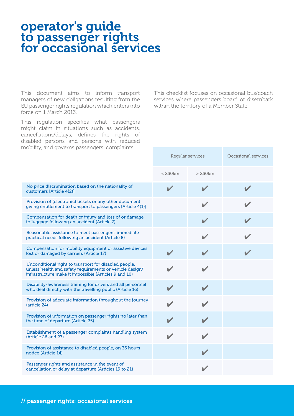## operator's guide to passenger rights for occasional services

This document aims to inform transport managers of new obligations resulting from the EU passenger rights regulation which enters into force on 1 March 2013.

This regulation specifies what passengers might claim in situations such as accidents, cancellations/delays, defines the rights of disabled persons and persons with reduced mobility, and governs passengers' complaints.

This checklist focuses on occasional bus/coach services where passengers board or disembark within the territory of a Member State.

|                                                                                                                                                                            | Regular services |                       | Occasional services |
|----------------------------------------------------------------------------------------------------------------------------------------------------------------------------|------------------|-----------------------|---------------------|
|                                                                                                                                                                            | $< 250$ $km$     | >250km                |                     |
| No price discrimination based on the nationality of<br>customers [Article 4(2)]                                                                                            | $\mathbf{v}$     | V                     |                     |
| Provision of (electronic) tickets or any other document<br>giving entitlement to transport to passengers [Article 4(1)]                                                    |                  | $\blacktriangledown$  |                     |
| Compensation for death or injury and loss of or damage<br>to luggage following an accident (Article 7)                                                                     |                  |                       |                     |
| Reasonable assistance to meet passengers' immediate<br>practical needs following an accident (Article 8)                                                                   |                  |                       |                     |
| Compensation for mobility equipment or assistive devices<br>lost or damaged by carriers (Article 17)                                                                       |                  |                       |                     |
| Unconditional right to transport for disabled people,<br>unless health and safety requirements or vehicle design/<br>infrastructure make it impossible (Articles 9 and 10) |                  |                       |                     |
| Disability-awareness training for drivers and all personnel<br>who deal directly with the travelling public (Article 16)                                                   |                  | $\blacktriangleright$ |                     |
| Provision of adequate information throughout the journey<br>(article 24)                                                                                                   |                  |                       |                     |
| Provision of information on passenger rights no later than<br>the time of departure (Article 25)                                                                           |                  |                       |                     |
| Establishment of a passenger complaints handling system<br>(Article 26 and 27)                                                                                             |                  | V                     |                     |
| Provision of assistance to disabled people, on 36 hours<br>notice (Article 14)                                                                                             |                  | V                     |                     |
| Passenger rights and assistance in the event of<br>cancellation or delay at departure (Articles 19 to 21)                                                                  |                  |                       |                     |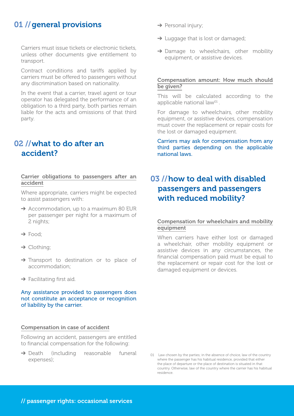## 01 // general provisions

Carriers must issue tickets or electronic tickets, unless other documents give entitlement to transport.

Contract conditions and tariffs applied by carriers must be offered to passengers without any discrimination based on nationality.

In the event that a carrier, travel agent or tour operator has delegated the performance of an obligation to a third party, both parties remain liable for the acts and omissions of that third party.

## 02 //what to do after an accident?

#### Carrier obligations to passengers after an accident

Where appropriate, carriers might be expected to assist passengers with:

- **→** Accommodation, up to a maximum 80 EUR per passenger per night for a maximum of 2 nights;
- → Food:
- → Clothing;
- → Transport to destination or to place of accommodation;
- $\rightarrow$  Facilitating first aid.

Any assistance provided to passengers does not constitute an acceptance or recognition of liability by the carrier.

### Compensation in case of accident

Following an accident, passengers are entitled to financial compensation for the following:

→ Death (including reasonable funeral expenses);

- → Personal injury;
- $\rightarrow$  Luggage that is lost or damaged;
- → Damage to wheelchairs, other mobility equipment, or assistive devices.

## Compensation amount: How much should be given?

This will be calculated according to the applicable national law<sup>01</sup>.

For damage to wheelchairs, other mobility equipment, or assistive devices, compensation must cover the replacement or repair costs for the lost or damaged equipment.

### Carriers may ask for compensation from any third parties depending on the applicable national laws.

## 03 // how to deal with disabled passengers and passengers with reduced mobility?

## Compensation for wheelchairs and mobility equipment

When carriers have either lost or damaged a wheelchair, other mobility equipment or assistive devices in any circumstances, the financial compensation paid must be equal to the replacement or repair cost for the lost or damaged equipment or devices.

<sup>01</sup> Law chosen by the parties; in the absence of choice, law of the country where the passenger has his habitual residence, provided that either the place of departure or the place of destination is situated in that country. Otherwise, law of the country where the carrier has his habitual residence.